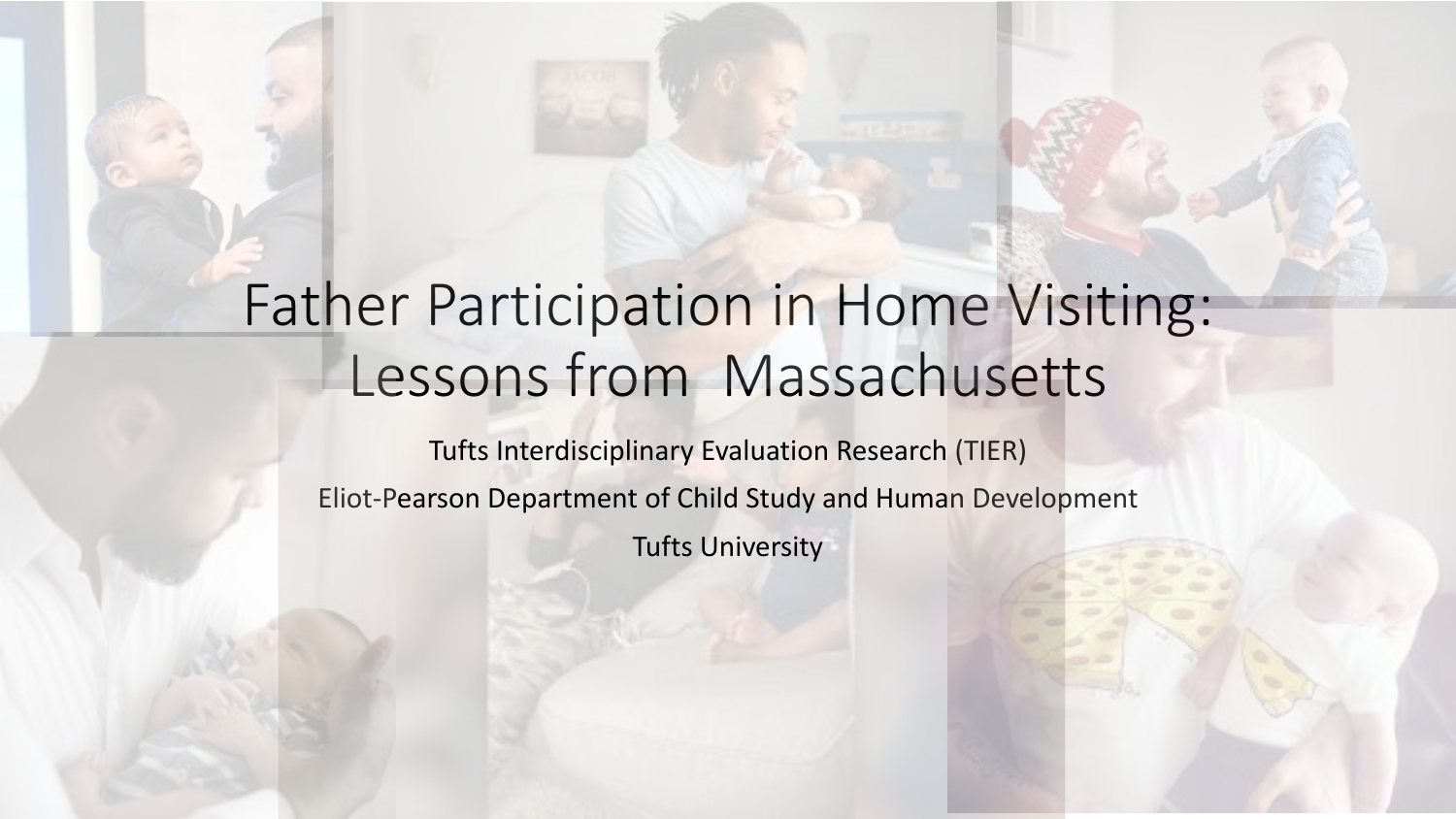### Father Participation in Home Visiting: Lessons from Massachusetts

Tufts Interdisciplinary Evaluation Research (TIER) Eliot-Pearson Department of Child Study and Human Development Tufts University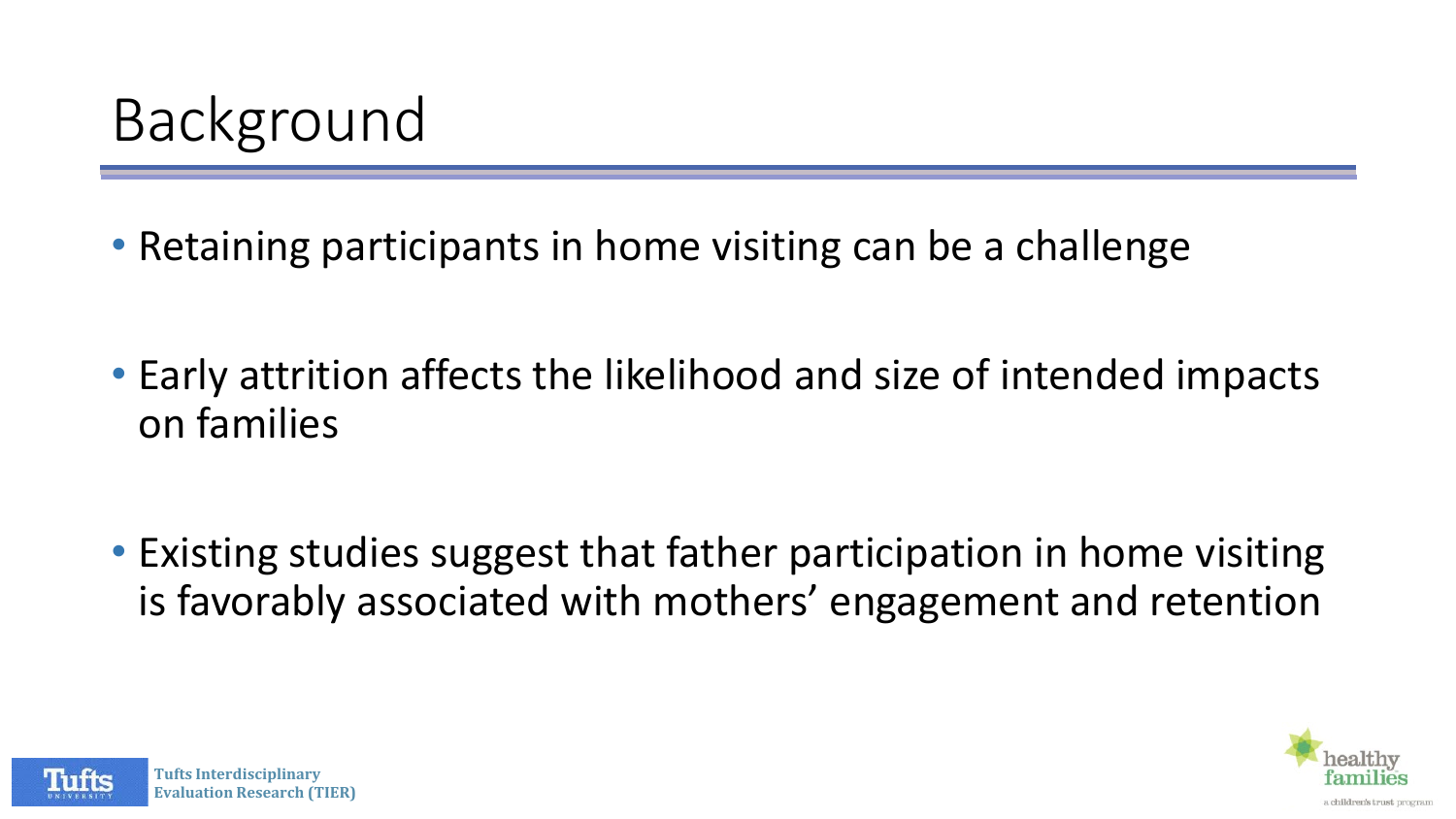• Retaining participants in home visiting can be a challenge

- Early attrition affects the likelihood and size of intended impacts on families
- Existing studies suggest that father participation in home visiting is favorably associated with mothers' engagement and retention



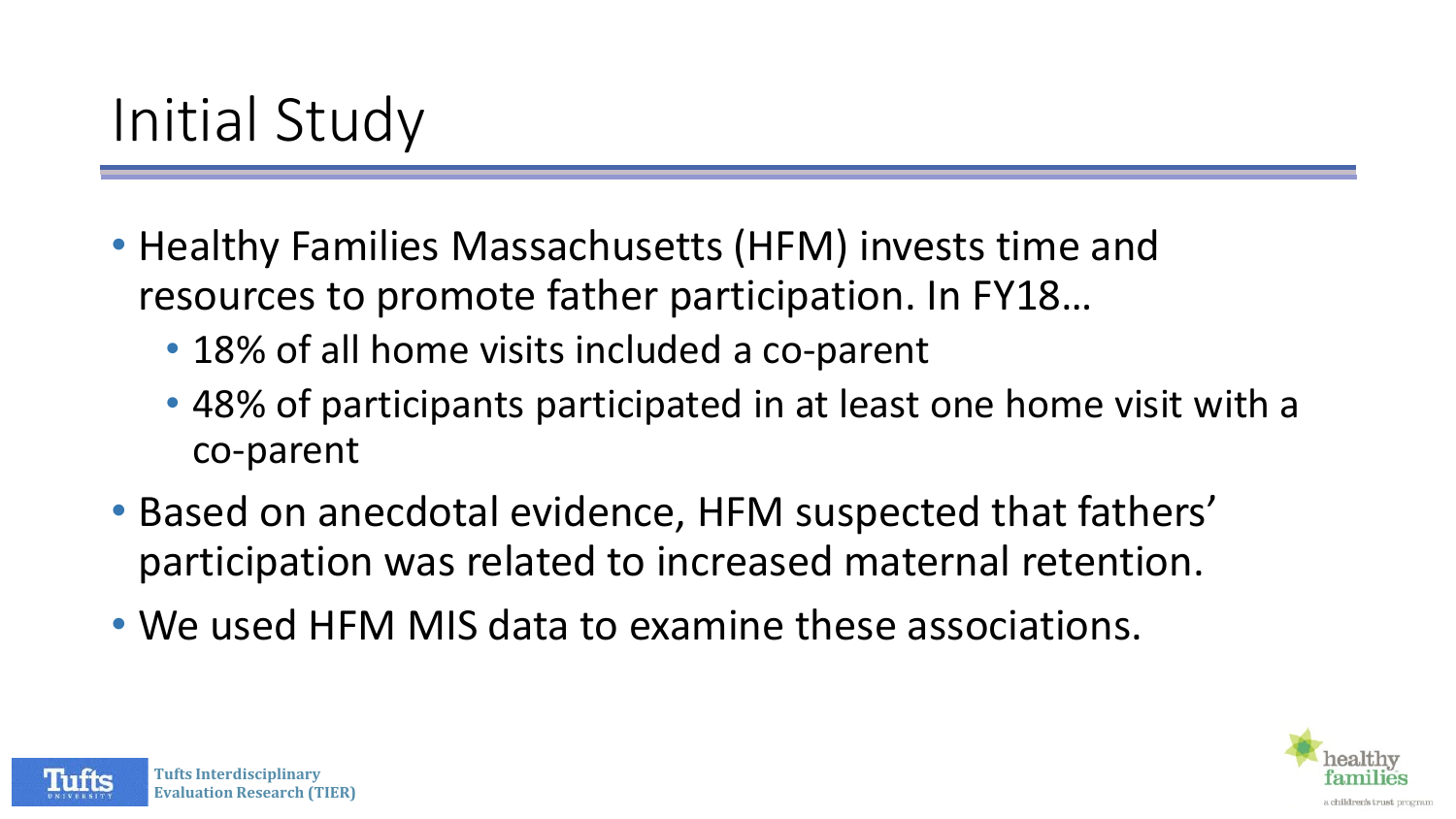- Healthy Families Massachusetts (HFM) invests time and resources to promote father participation. In FY18…
	- 18% of all home visits included a co-parent
	- 48% of participants participated in at least one home visit with a co-parent
- Based on anecdotal evidence, HFM suspected that fathers' participation was related to increased maternal retention.
- We used HFM MIS data to examine these associations.



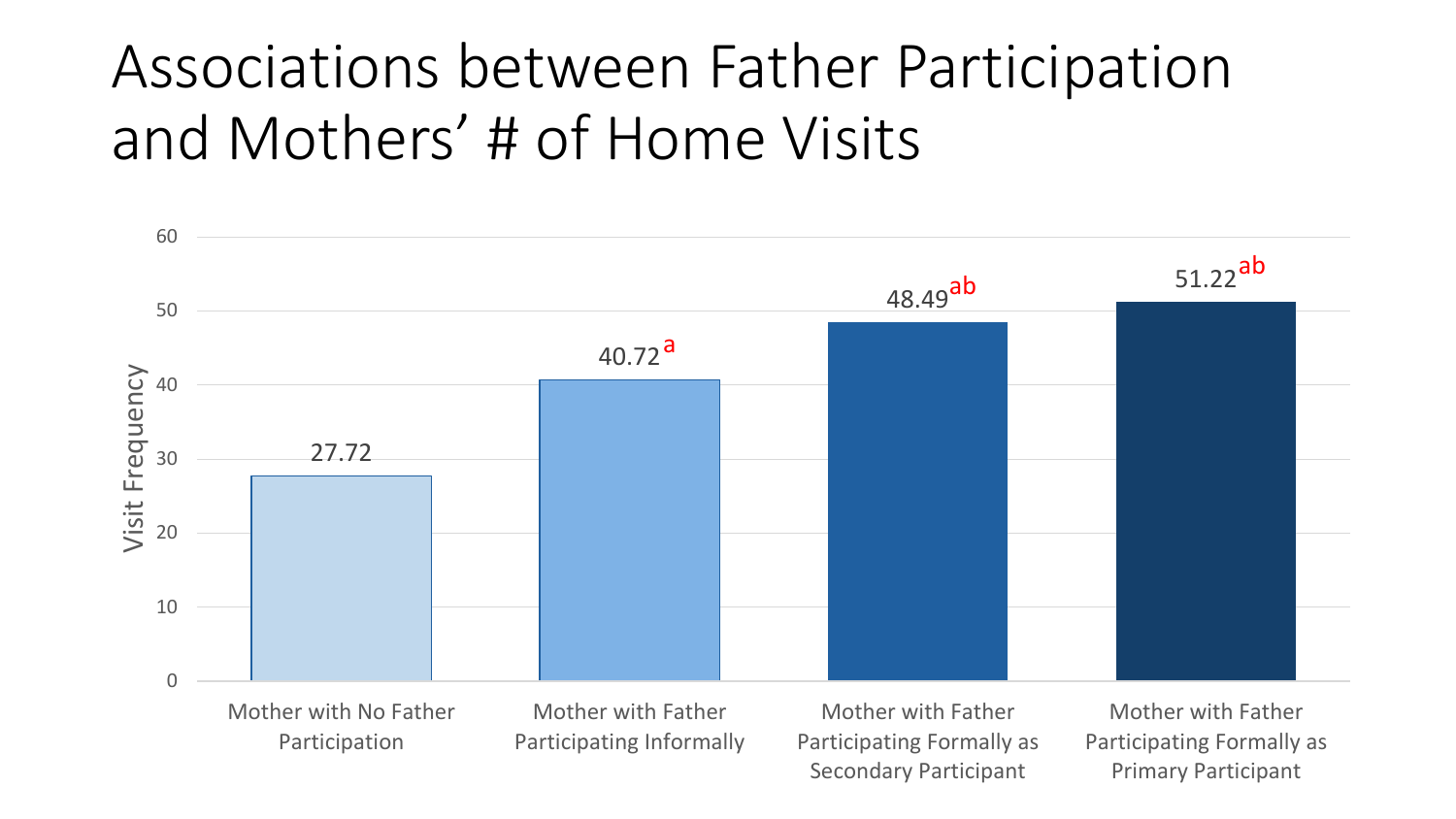## Associations between Father Participation and Mothers' # of Home Visits



Participation

Participating Informally

Participating Formally as Secondary Participant

Participating Formally as Primary Participant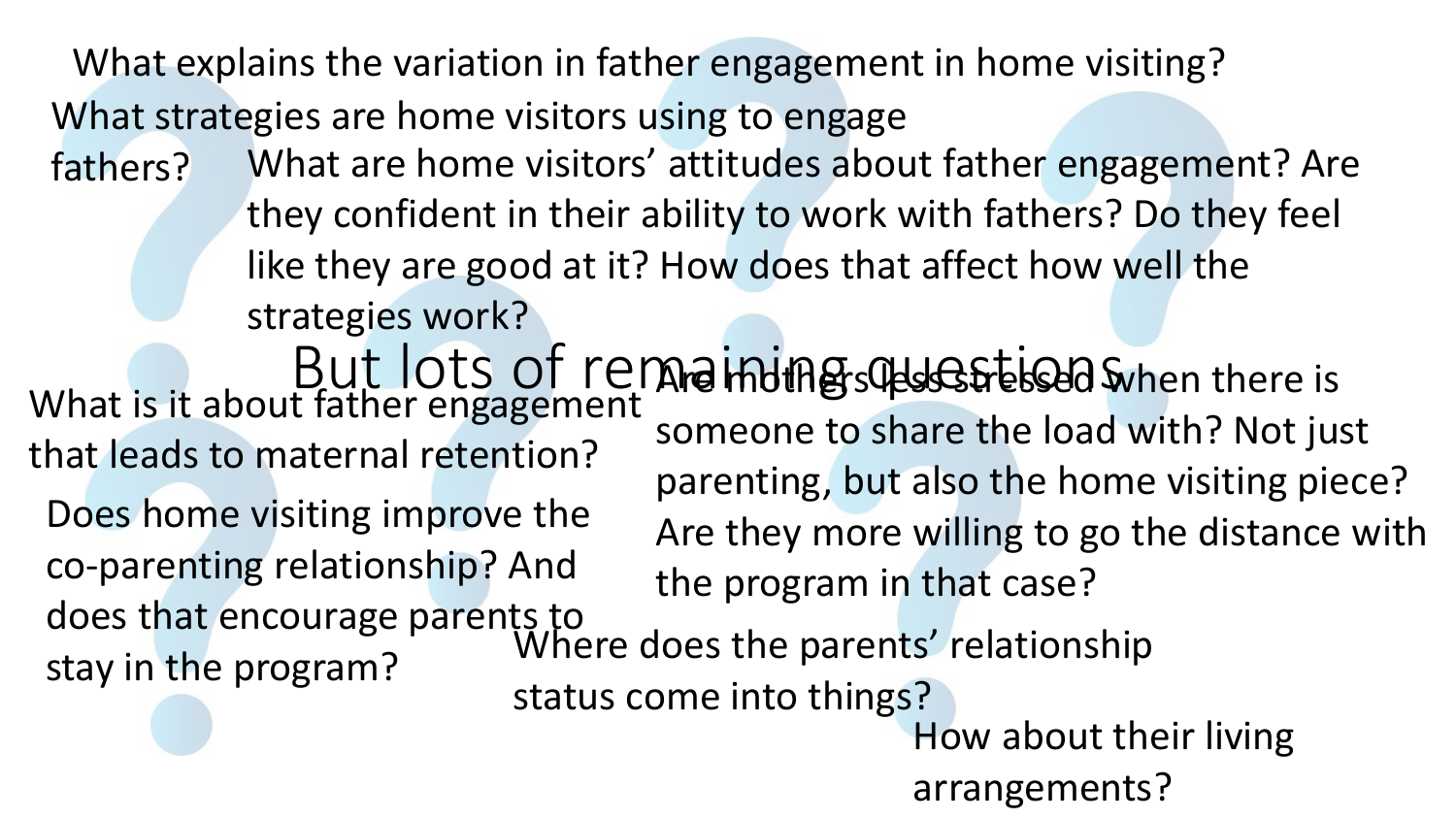What explains the variation in father engagement in home visiting?

What strategies are home visitors using to engage

But lots of remainingscrustions Where does the parents' relationship status come into things? What is it about father engagement that leads to maternal retention? fathers? What are home visitors' attitudes about father engagement? Are they confident in their ability to work with fathers? Do they feel like they are good at it? How does that affect how well the strategies work? Are muthers helses are lead when there is someone to share the load with? Not just parenting, but also the home visiting piece? Are they more willing to go the distance with the program in that case? Does home visiting improve the co-parenting relationship? And does that encourage parents to stay in the program?

How about their living arrangements?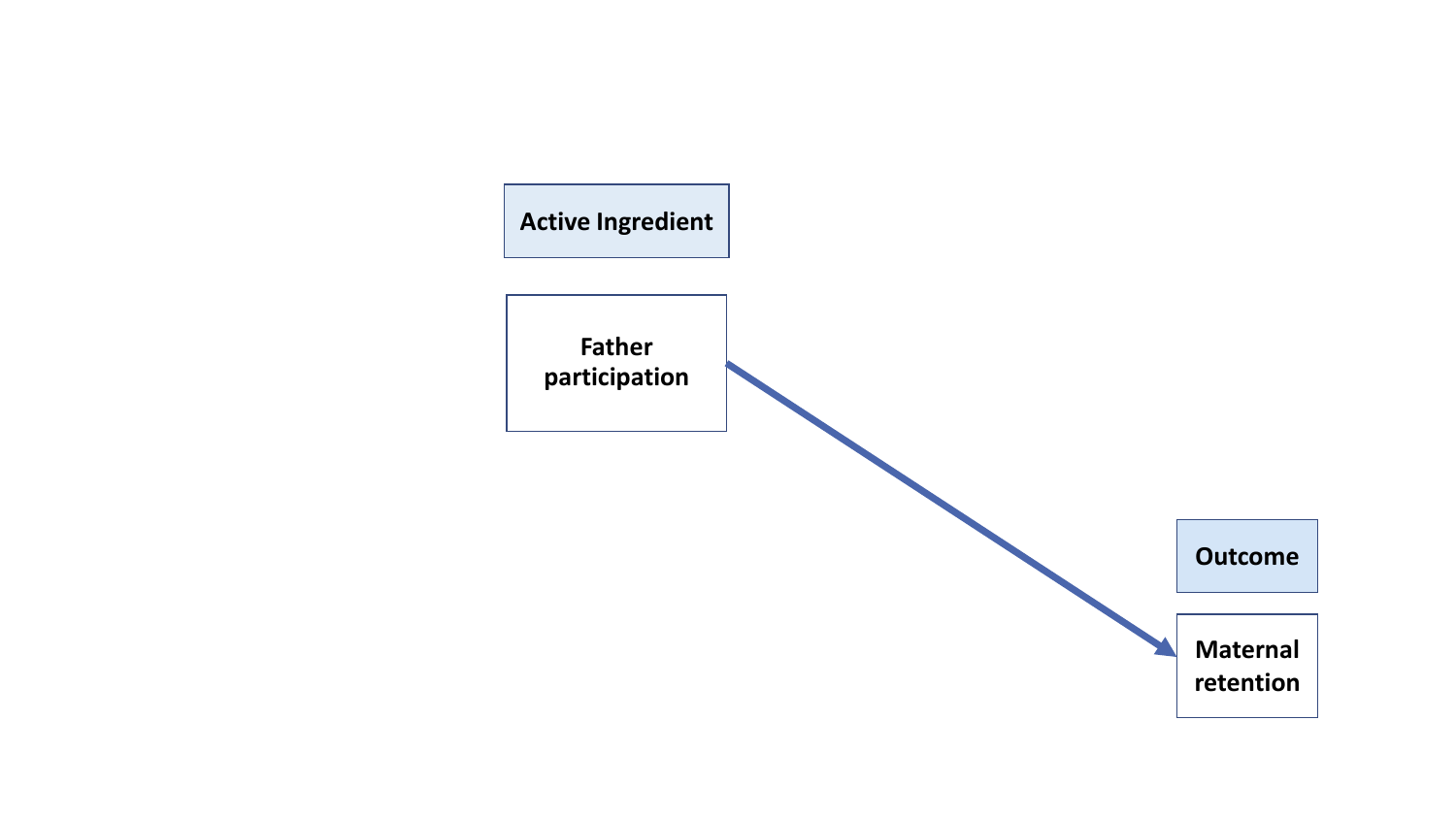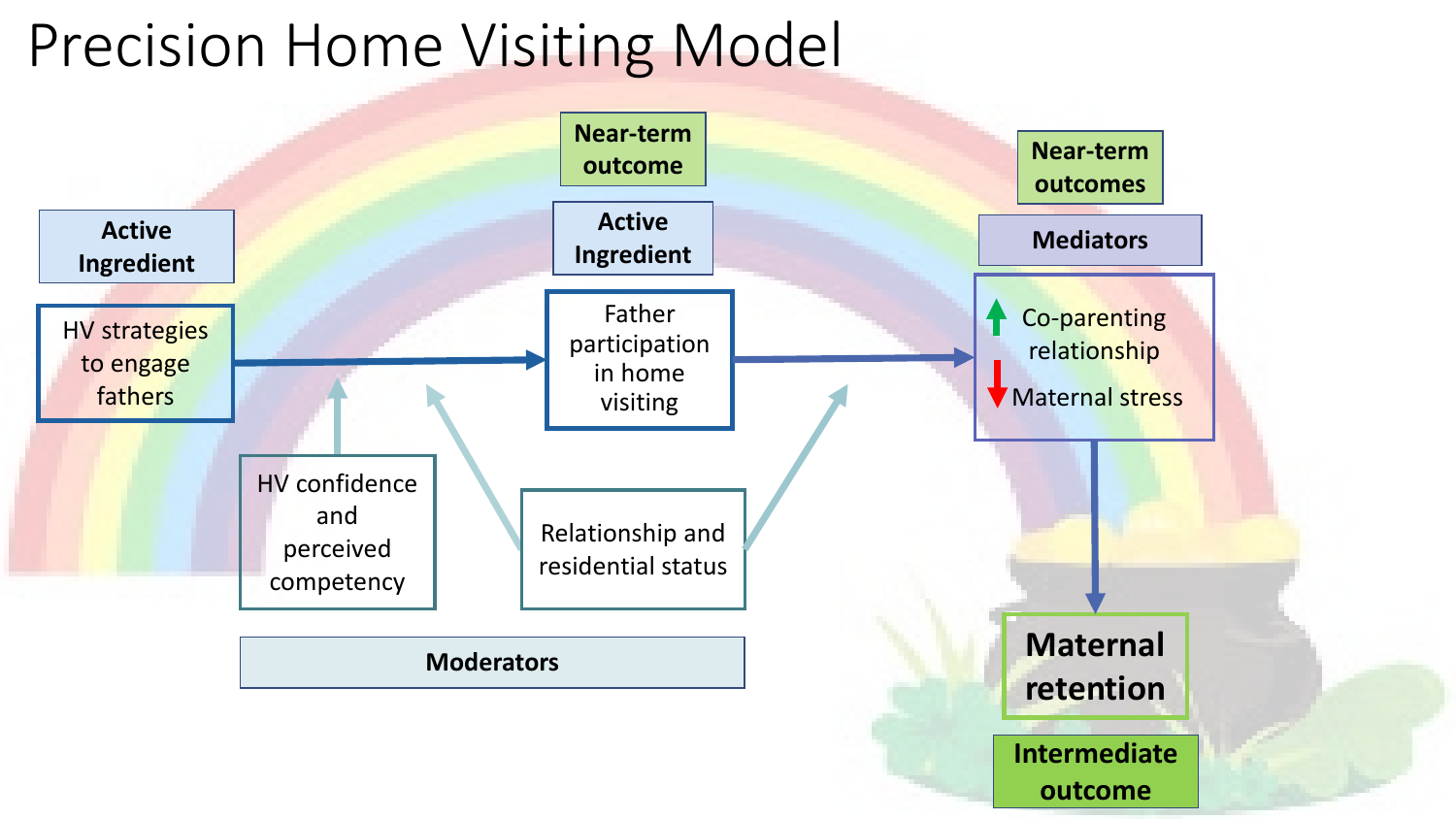## Precision Home Visiting Model

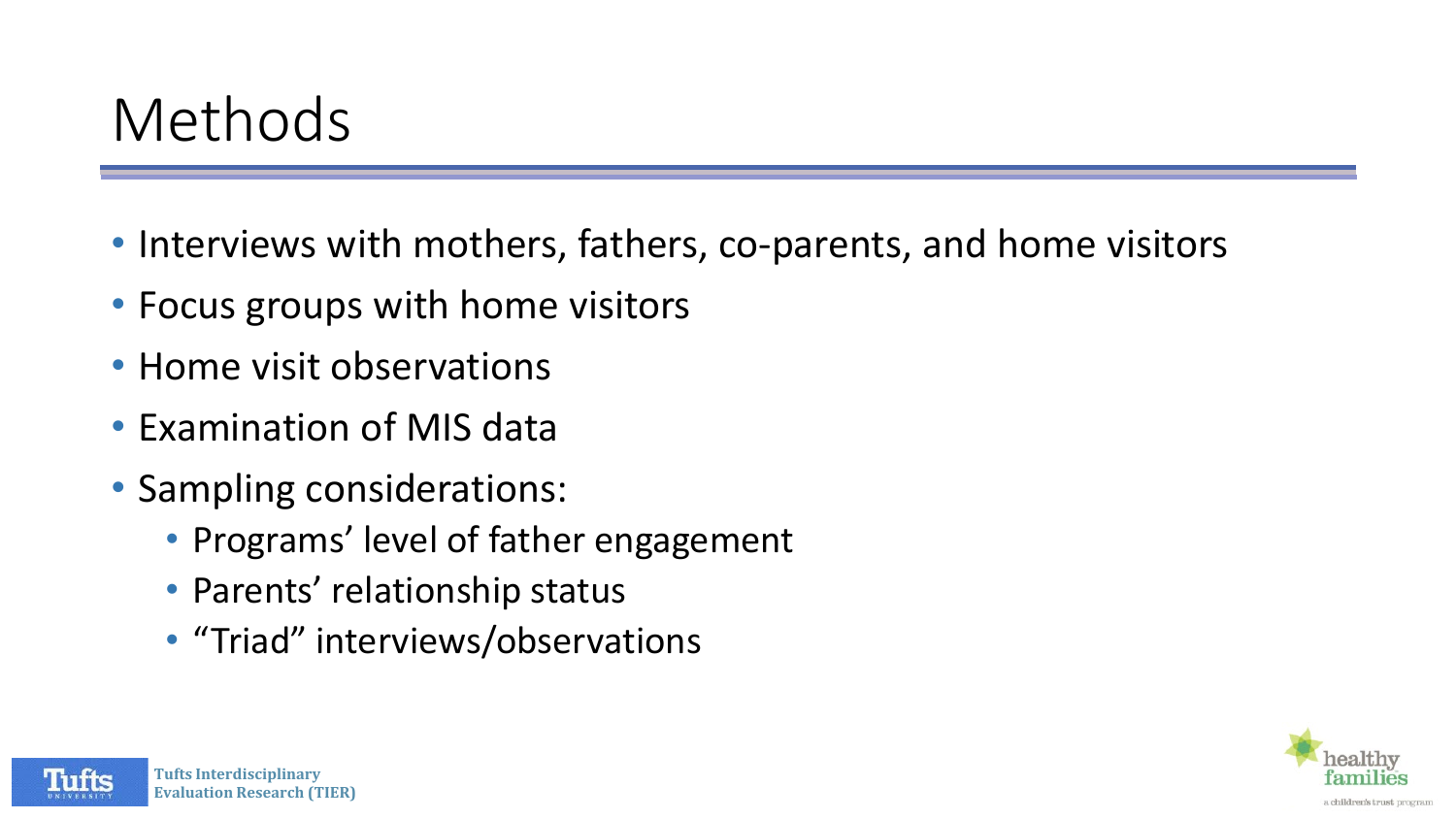### Methods

- Interviews with mothers, fathers, co-parents, and home visitors
- Focus groups with home visitors
- Home visit observations
- Examination of MIS data
- Sampling considerations:
	- Programs' level of father engagement
	- Parents' relationship status
	- "Triad" interviews/observations



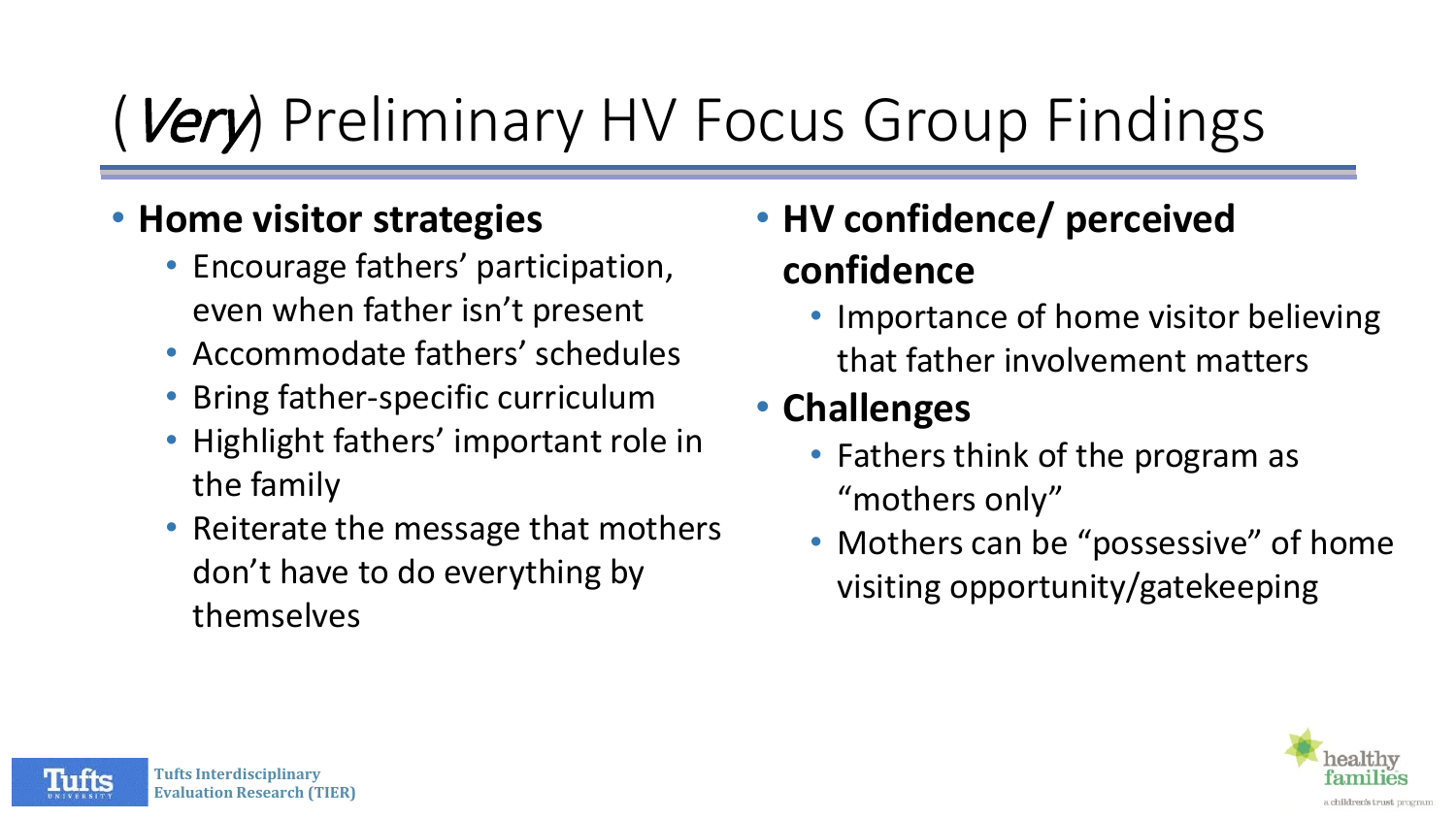# Very) Preliminary HV Focus Group Findings

#### • **Home visitor strategies**

- Encourage fathers' participation, even when father isn't present
- Accommodate fathers' schedules
- Bring father-specific curriculum
- Highlight fathers' important role in the family
- Reiterate the message that mothers don't have to do everything by themselves

### • **HV confidence/ perceived confidence**

• Importance of home visitor believing that father involvement matters

### • **Challenges**

- Fathers think of the program as "mothers only"
- Mothers can be "possessive" of home visiting opportunity/gatekeeping



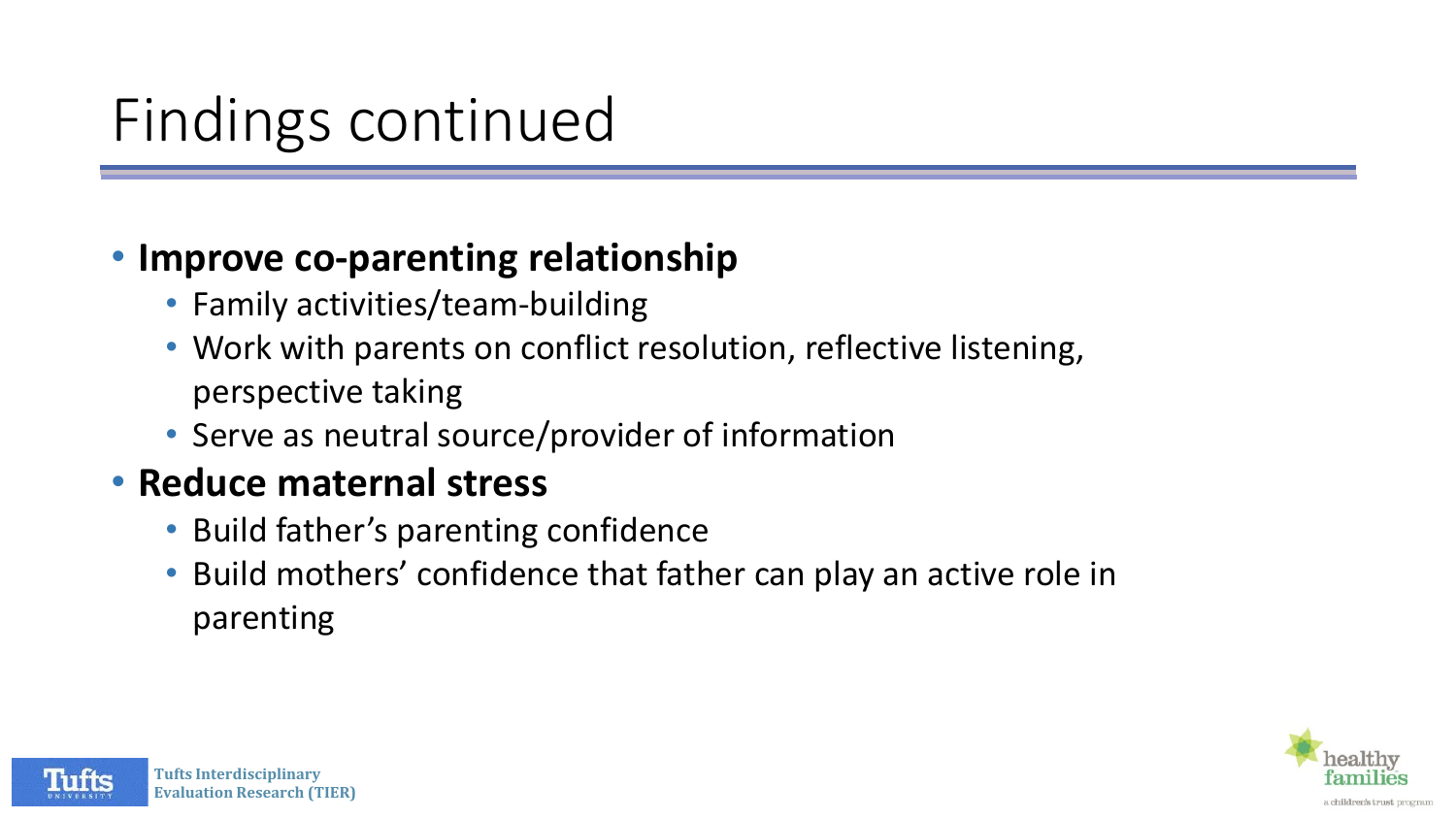## Findings continued

#### • **Improve co-parenting relationship**

- Family activities/team-building
- Work with parents on conflict resolution, reflective listening, perspective taking
- Serve as neutral source/provider of information

#### • **Reduce maternal stress**

- Build father's parenting confidence
- Build mothers' confidence that father can play an active role in parenting



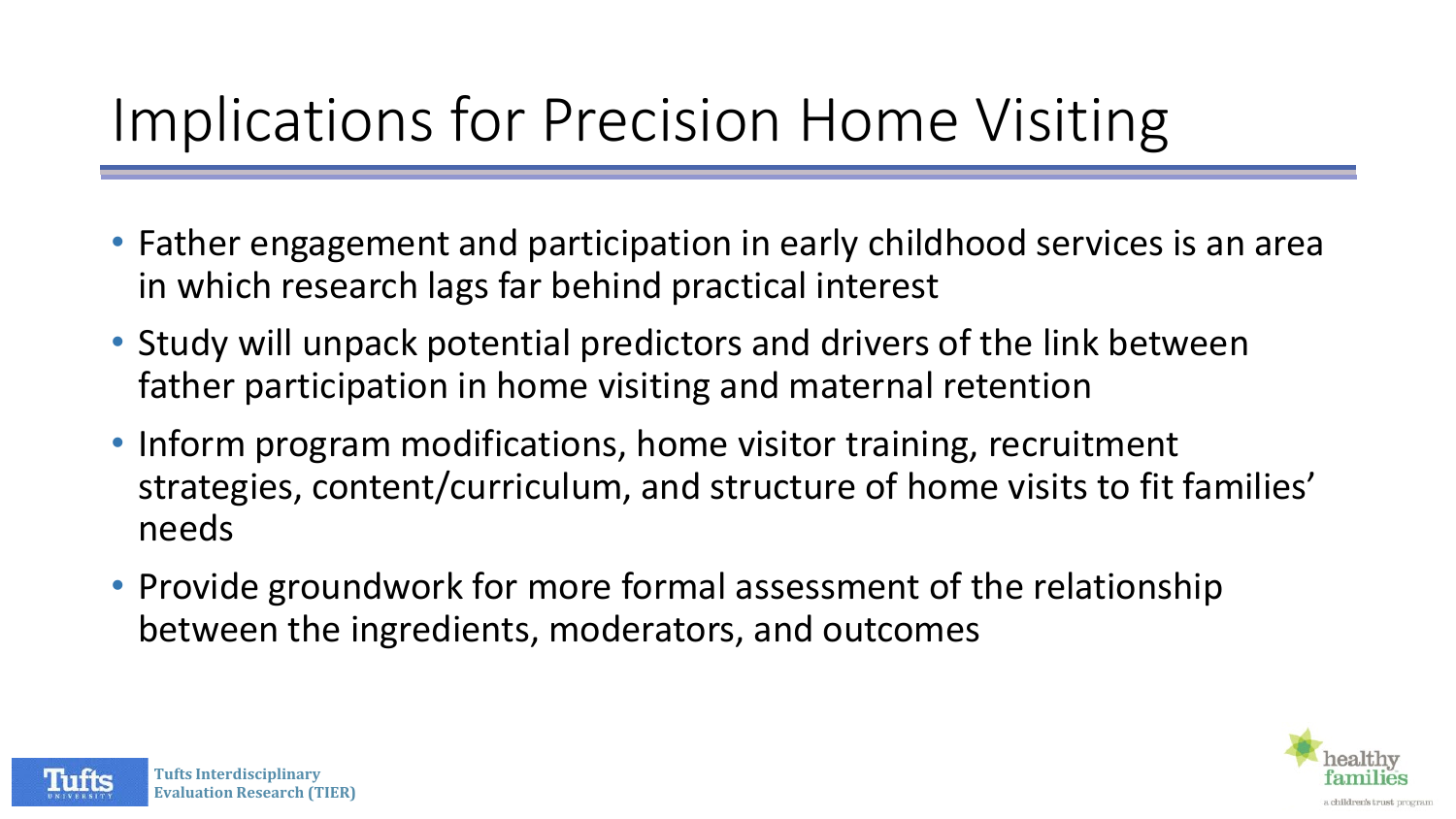## Implications for Precision Home Visiting

- Father engagement and participation in early childhood services is an area in which research lags far behind practical interest
- Study will unpack potential predictors and drivers of the link between father participation in home visiting and maternal retention
- Inform program modifications, home visitor training, recruitment strategies, content/curriculum, and structure of home visits to fit families' needs
- Provide groundwork for more formal assessment of the relationship between the ingredients, moderators, and outcomes